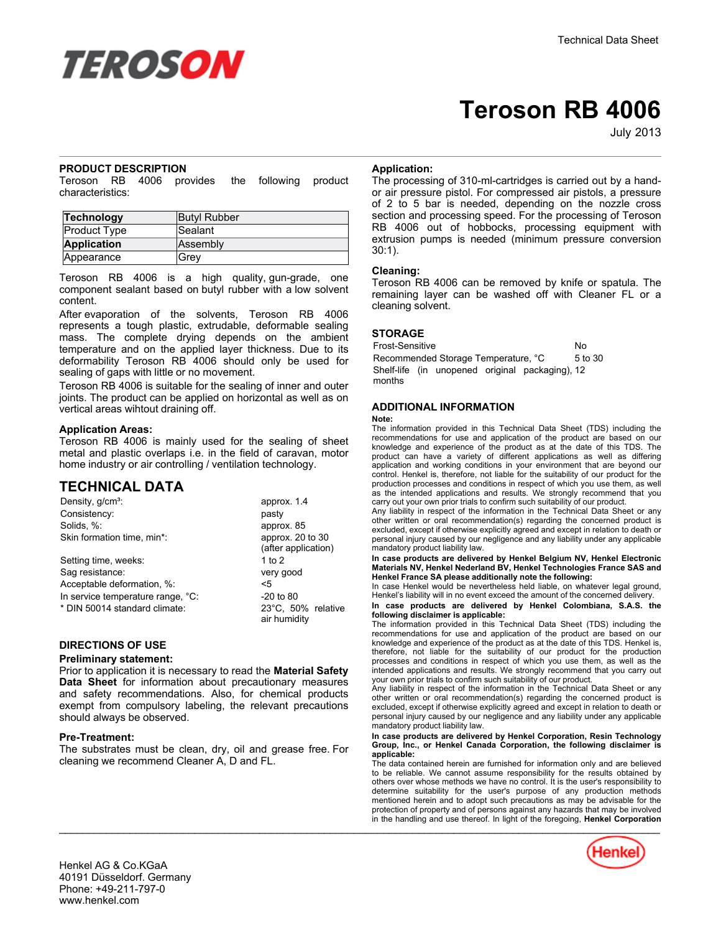

# **Teroson RB 4006**

July-2013

### **PRODUCT DESCRIPTION**

Teroson RB 4006 provides the following product characteristics:

| Technology         | <b>Butyl Rubber</b> |
|--------------------|---------------------|
| Product Type       | Sealant             |
| <b>Application</b> | Assembly            |
| Appearance         | Grev                |

Teroson RB 4006 is a high quality, gun-grade, one component sealant based on butyl rubber with a low solvent content.

After evaporation of the solvents, Teroson RB 4006 represents a tough plastic, extrudable, deformable sealing mass. The complete drying depends on the ambient temperature and on the applied layer thickness. Due to its deformability Teroson RB 4006 should only be used for sealing of gaps with little or no movement.

Teroson RB 4006 is suitable for the sealing of inner and outer joints. The product can be applied on horizontal as well as on vertical areas wihtout draining off.

#### **Application Areas:**

Teroson RB 4006 is mainly used for the sealing of sheet metal and plastic overlaps i.e. in the field of caravan, motor home industry or air controlling / ventilation technology.

## **TECHNICAL DATA**

| Density, g/cm <sup>3</sup> :      | approx. 1.4                             |
|-----------------------------------|-----------------------------------------|
| Consistency:                      | pasty                                   |
| Solids, %:                        | approx. 85                              |
| Skin formation time, min*:        | approx. 20 to 30<br>(after application) |
| Setting time, weeks:              | 1 to $2$                                |
| Sag resistance:                   | very good                               |
| Acceptable deformation, %:        | <5                                      |
| In service temperature range, °C: | $-20$ to 80                             |
| * DIN 50014 standard climate:     | 23°C, 50% relative<br>air humidity      |

### **DIRECTIONS OF USE**

#### **Preliminary statement:**

Prior to application it is necessary to read the **Material Safety Data Sheet** for information about precautionary measures and safety recommendations. Also, for chemical products exempt from compulsory labeling, the relevant precautions should always be observed.

#### **Pre-Treatment:**

The substrates must be clean, dry, oil and grease free. For cleaning we recommend Cleaner A, D and FL.

## **Application:**

The processing of 310-ml-cartridges is carried out by a handor air pressure pistol. For compressed air pistols, a pressure of 2 to 5 bar is needed, depending on the nozzle cross section and processing speed. For the processing of Teroson RB 4006 out of hobbocks, processing equipment with extrusion pumps is needed (minimum pressure conversion 30:1).

#### **Cleaning:**

Teroson RB 4006 can be removed by knife or spatula. The remaining layer can be washed off with Cleaner FL or a cleaning solvent.

#### **STORAGE**

Frost-Sensitive No Recommended Storage Temperature, °C 5 to 30 Shelf-life (in unopened original packaging), 12 months

#### **ADDITIONAL INFORMATION**

#### **Note:**

The information provided in this Technical Data Sheet (TDS) including the recommendations for use and application of the product are based on our knowledge and experience of the product as at the date of this TDS. The product can have a variety of different applications as well as differing application and working conditions in your environment that are beyond our control. Henkel is, therefore, not liable for the suitability of our product for the production processes and conditions in respect of which you use them, as well as the intended applications and results. We strongly recommend that you carry out your own prior trials to confirm such suitability of our product.

Any liability in respect of the information in the Technical Data Sheet or any other written or oral recommendation(s) regarding the concerned product is excluded, except if otherwise explicitly agreed and except in relation to death or personal injury caused by our negligence and any liability under any applicable mandatory product liability law.

In case products are delivered by Henkel Belgium NV, Henkel Electronic<br>Materials NV, Henkel Nederland BV, Henkel Technologies France SAS and **Henkel France SA please additionally note the following:** 

In case Henkel would be nevertheless held liable, on whatever legal ground, Henkel's liability will in no event exceed the amount of the concerned delivery.

**In case products are delivered by Henkel Colombiana, S.A.S. the following disclaimer is applicable:**

The information provided in this Technical Data Sheet (TDS) including the recommendations for use and application of the product are based on our knowledge and experience of the product as at the date of this TDS. Henkel is, therefore, not liable for the suitability of our product for the production processes and conditions in respect of which you use them, as well as the intended applications and results. We strongly recommend that you carry out your own prior trials to confirm such suitability of our product.

Any liability in respect of the information in the Technical Data Sheet or any other written or oral recommendation(s) regarding the concerned product is excluded, except if otherwise explicitly agreed and except in relation to death or personal injury caused by our negligence and any liability under any applicable mandatory product liability law.

#### **In case products are delivered by Henkel Corporation, Resin Technology Group, Inc., or Henkel Canada Corporation, the following disclaimer is applicable:**

The data contained herein are furnished for information only and are believed to be reliable. We cannot assume responsibility for the results obtained by others over whose methods we have no control. It is the user's responsibility to determine suitability for the user's purpose of any production methods mentioned herein and to adopt such precautions as may be advisable for the protection of property and of persons against any hazards that may be involved in the handling and use thereof. In light of the foregoing, **Henkel Corporation**  $\mathcal{L}_\mathcal{L} = \mathcal{L}_\mathcal{L} = \mathcal{L}_\mathcal{L} = \mathcal{L}_\mathcal{L} = \mathcal{L}_\mathcal{L} = \mathcal{L}_\mathcal{L} = \mathcal{L}_\mathcal{L} = \mathcal{L}_\mathcal{L} = \mathcal{L}_\mathcal{L} = \mathcal{L}_\mathcal{L} = \mathcal{L}_\mathcal{L} = \mathcal{L}_\mathcal{L} = \mathcal{L}_\mathcal{L} = \mathcal{L}_\mathcal{L} = \mathcal{L}_\mathcal{L} = \mathcal{L}_\mathcal{L} = \mathcal{L}_\mathcal{L}$